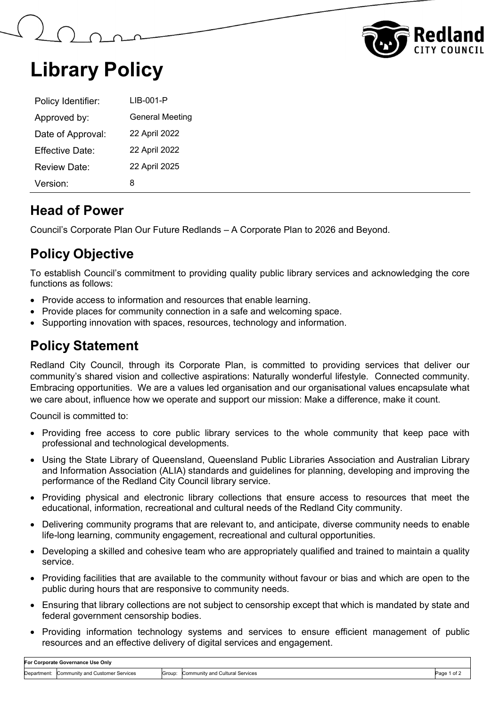



## **Library Policy**

| Policy Identifier: | LIB-001-P              |  |
|--------------------|------------------------|--|
| Approved by:       | <b>General Meeting</b> |  |
| Date of Approval:  | 22 April 2022          |  |
| Effective Date:    | 22 April 2022          |  |
| Review Date:       | 22 April 2025          |  |
| Version:           | 8                      |  |

### **Head of Power**

Council's Corporate Plan Our Future Redlands – A Corporate Plan to 2026 and Beyond.

## **Policy Objective**

To establish Council's commitment to providing quality public library services and acknowledging the core functions as follows:

- Provide access to information and resources that enable learning.
- Provide places for community connection in a safe and welcoming space.
- Supporting innovation with spaces, resources, technology and information.

### **Policy Statement**

Redland City Council, through its Corporate Plan, is committed to providing services that deliver our community's shared vision and collective aspirations: Naturally wonderful lifestyle. Connected community. Embracing opportunities. We are a values led organisation and our organisational values encapsulate what we care about, influence how we operate and support our mission: Make a difference, make it count.

Council is committed to:

- Providing free access to core public library services to the whole community that keep pace with professional and technological developments.
- Using the State Library of Queensland, Queensland Public Libraries Association and Australian Library and Information Association (ALIA) standards and guidelines for planning, developing and improving the performance of the Redland City Council library service.
- Providing physical and electronic library collections that ensure access to resources that meet the educational, information, recreational and cultural needs of the Redland City community.
- Delivering community programs that are relevant to, and anticipate, diverse community needs to enable life-long learning, community engagement, recreational and cultural opportunities.
- Developing a skilled and cohesive team who are appropriately qualified and trained to maintain a quality service.
- Providing facilities that are available to the community without favour or bias and which are open to the public during hours that are responsive to community needs.
- Ensuring that library collections are not subject to censorship except that which is mandated by state and federal government censorship bodies.
- Providing information technology systems and services to ensure efficient management of public resources and an effective delivery of digital services and engagement.